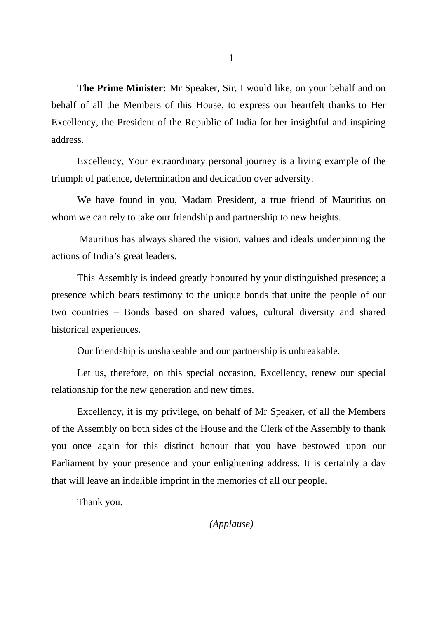**The Prime Minister:** Mr Speaker, Sir, I would like, on your behalf and on behalf of all the Members of this House, to express our heartfelt thanks to Her Excellency, the President of the Republic of India for her insightful and inspiring address.

Excellency, Your extraordinary personal journey is a living example of the triumph of patience, determination and dedication over adversity.

We have found in you, Madam President, a true friend of Mauritius on whom we can rely to take our friendship and partnership to new heights.

 Mauritius has always shared the vision, values and ideals underpinning the actions of India's great leaders.

This Assembly is indeed greatly honoured by your distinguished presence; a presence which bears testimony to the unique bonds that unite the people of our two countries – Bonds based on shared values, cultural diversity and shared historical experiences.

Our friendship is unshakeable and our partnership is unbreakable.

Let us, therefore, on this special occasion, Excellency, renew our special relationship for the new generation and new times.

Excellency, it is my privilege, on behalf of Mr Speaker, of all the Members of the Assembly on both sides of the House and the Clerk of the Assembly to thank you once again for this distinct honour that you have bestowed upon our Parliament by your presence and your enlightening address. It is certainly a day that will leave an indelible imprint in the memories of all our people.

Thank you.

1

*(Applause)*